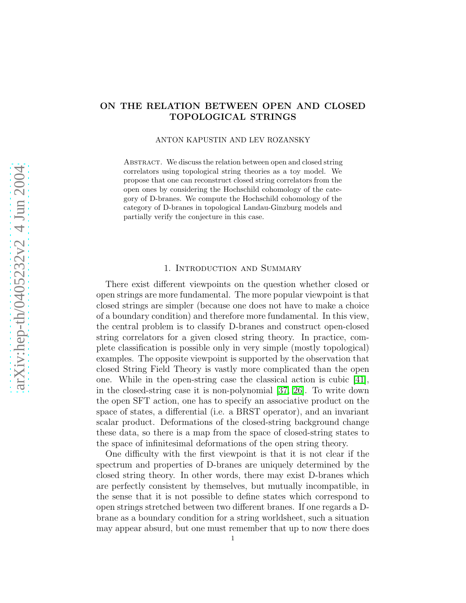# ON THE RELATION BETWEEN OPEN AND CLOSED TOPOLOGICAL STRINGS

#### ANTON KAPUSTIN AND LEV ROZANSKY

ABSTRACT. We discuss the relation between open and closed string correlators using topological string theories as a toy model. We propose that one can reconstruct closed string correlators from the open ones by considering the Hochschild cohomology of the category of D-branes. We compute the Hochschild cohomology of the category of D-branes in topological Landau-Ginzburg models and partially verify the conjecture in this case.

## 1. Introduction and Summary

There exist different viewpoints on the question whether closed or open strings are more fundamental. The more popular viewpoint is that closed strings are simpler (because one does not have to make a choice of a boundary condition) and therefore more fundamental. In this view, the central problem is to classify D-branes and construct open-closed string correlators for a given closed string theory. In practice, complete classification is possible only in very simple (mostly topological) examples. The opposite viewpoint is supported by the observation that closed String Field Theory is vastly more complicated than the open one. While in the open-string case the classical action is cubic [\[41\]](#page-27-0), in the closed-string case it is non-polynomial [\[37,](#page-27-1) [26\]](#page-26-0). To write down the open SFT action, one has to specify an associative product on the space of states, a differential (i.e. a BRST operator), and an invariant scalar product. Deformations of the closed-string background change these data, so there is a map from the space of closed-string states to the space of infinitesimal deformations of the open string theory.

One difficulty with the first viewpoint is that it is not clear if the spectrum and properties of D-branes are uniquely determined by the closed string theory. In other words, there may exist D-branes which are perfectly consistent by themselves, but mutually incompatible, in the sense that it is not possible to define states which correspond to open strings stretched between two different branes. If one regards a Dbrane as a boundary condition for a string worldsheet, such a situation may appear absurd, but one must remember that up to now there does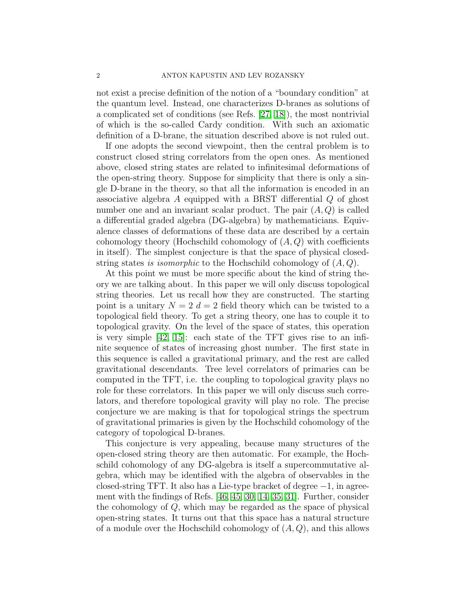not exist a precise definition of the notion of a "boundary condition" at the quantum level. Instead, one characterizes D-branes as solutions of a complicated set of conditions (see Refs. [\[27,](#page-26-1) [18\]](#page-26-2)), the most nontrivial of which is the so-called Cardy condition. With such an axiomatic definition of a D-brane, the situation described above is not ruled out.

If one adopts the second viewpoint, then the central problem is to construct closed string correlators from the open ones. As mentioned above, closed string states are related to infinitesimal deformations of the open-string theory. Suppose for simplicity that there is only a single D-brane in the theory, so that all the information is encoded in an associative algebra A equipped with a BRST differential Q of ghost number one and an invariant scalar product. The pair  $(A, Q)$  is called a differential graded algebra (DG-algebra) by mathematicians. Equivalence classes of deformations of these data are described by a certain cohomology theory (Hochschild cohomology of  $(A, Q)$  with coefficients in itself). The simplest conjecture is that the space of physical closedstring states is isomorphic to the Hochschild cohomology of  $(A, Q)$ .

At this point we must be more specific about the kind of string theory we are talking about. In this paper we will only discuss topological string theories. Let us recall how they are constructed. The starting point is a unitary  $N = 2$  d = 2 field theory which can be twisted to a topological field theory. To get a string theory, one has to couple it to topological gravity. On the level of the space of states, this operation is very simple [\[42,](#page-27-2) [15\]](#page-26-3): each state of the TFT gives rise to an infinite sequence of states of increasing ghost number. The first state in this sequence is called a gravitational primary, and the rest are called gravitational descendants. Tree level correlators of primaries can be computed in the TFT, i.e. the coupling to topological gravity plays no role for these correlators. In this paper we will only discuss such correlators, and therefore topological gravity will play no role. The precise conjecture we are making is that for topological strings the spectrum of gravitational primaries is given by the Hochschild cohomology of the category of topological D-branes.

This conjecture is very appealing, because many structures of the open-closed string theory are then automatic. For example, the Hochschild cohomology of any DG-algebra is itself a supercommutative algebra, which may be identified with the algebra of observables in the closed-string TFT. It also has a Lie-type bracket of degree −1, in agreement with the findings of Refs. [\[46,](#page-27-3) [45,](#page-27-4) [30,](#page-26-4) [14,](#page-26-5) [35,](#page-27-5) [31\]](#page-27-6). Further, consider the cohomology of Q, which may be regarded as the space of physical open-string states. It turns out that this space has a natural structure of a module over the Hochschild cohomology of  $(A, Q)$ , and this allows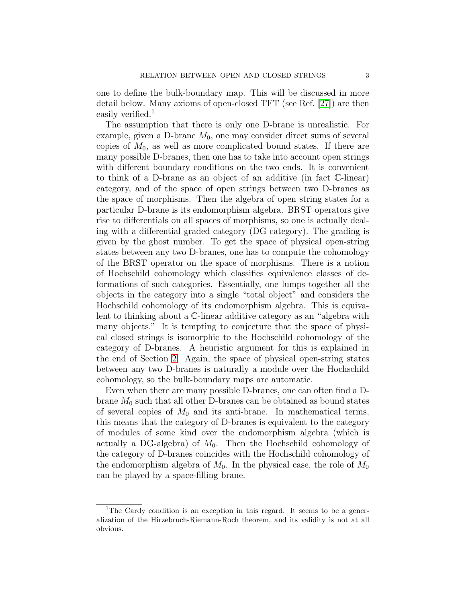one to define the bulk-boundary map. This will be discussed in more detail below. Many axioms of open-closed TFT (see Ref. [\[27\]](#page-26-1)) are then easily verified. $<sup>1</sup>$ </sup>

The assumption that there is only one D-brane is unrealistic. For example, given a D-brane  $M_0$ , one may consider direct sums of several copies of  $M_0$ , as well as more complicated bound states. If there are many possible D-branes, then one has to take into account open strings with different boundary conditions on the two ends. It is convenient to think of a D-brane as an object of an additive (in fact C-linear) category, and of the space of open strings between two D-branes as the space of morphisms. Then the algebra of open string states for a particular D-brane is its endomorphism algebra. BRST operators give rise to differentials on all spaces of morphisms, so one is actually dealing with a differential graded category (DG category). The grading is given by the ghost number. To get the space of physical open-string states between any two D-branes, one has to compute the cohomology of the BRST operator on the space of morphisms. There is a notion of Hochschild cohomology which classifies equivalence classes of deformations of such categories. Essentially, one lumps together all the objects in the category into a single "total object" and considers the Hochschild cohomology of its endomorphism algebra. This is equivalent to thinking about a C-linear additive category as an "algebra with many objects." It is tempting to conjecture that the space of physical closed strings is isomorphic to the Hochschild cohomology of the category of D-branes. A heuristic argument for this is explained in the end of Section [2.](#page-4-0) Again, the space of physical open-string states between any two D-branes is naturally a module over the Hochschild cohomology, so the bulk-boundary maps are automatic.

Even when there are many possible D-branes, one can often find a Dbrane  $M_0$  such that all other D-branes can be obtained as bound states of several copies of  $M_0$  and its anti-brane. In mathematical terms, this means that the category of D-branes is equivalent to the category of modules of some kind over the endomorphism algebra (which is actually a DG-algebra) of  $M_0$ . Then the Hochschild cohomology of the category of D-branes coincides with the Hochschild cohomology of the endomorphism algebra of  $M_0$ . In the physical case, the role of  $M_0$ can be played by a space-filling brane.

<sup>&</sup>lt;sup>1</sup>The Cardy condition is an exception in this regard. It seems to be a generalization of the Hirzebruch-Riemann-Roch theorem, and its validity is not at all obvious.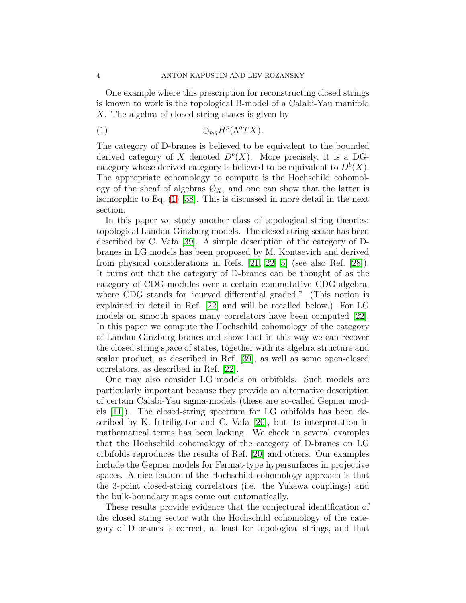<span id="page-3-0"></span>One example where this prescription for reconstructing closed strings is known to work is the topological B-model of a Calabi-Yau manifold X. The algebra of closed string states is given by

$$
(1) \t\t \t\t \oplus_{p,q} H^p(\Lambda^q TX).
$$

The category of D-branes is believed to be equivalent to the bounded derived category of X denoted  $D^b(X)$ . More precisely, it is a DGcategory whose derived category is believed to be equivalent to  $D^b(X)$ . The appropriate cohomology to compute is the Hochschild cohomology of the sheaf of algebras  $\mathcal{O}_X$ , and one can show that the latter is isomorphic to Eq. [\(1\)](#page-3-0) [\[38\]](#page-27-7). This is discussed in more detail in the next section.

In this paper we study another class of topological string theories: topological Landau-Ginzburg models. The closed string sector has been described by C. Vafa [\[39\]](#page-27-8). A simple description of the category of Dbranes in LG models has been proposed by M. Kontsevich and derived from physical considerations in Refs. [\[21,](#page-26-6) [22,](#page-26-7) [5\]](#page-25-0) (see also Ref. [\[28\]](#page-26-8)). It turns out that the category of D-branes can be thought of as the category of CDG-modules over a certain commutative CDG-algebra, where CDG stands for "curved differential graded." (This notion is explained in detail in Ref. [\[22\]](#page-26-7) and will be recalled below.) For LG models on smooth spaces many correlators have been computed [\[22\]](#page-26-7). In this paper we compute the Hochschild cohomology of the category of Landau-Ginzburg branes and show that in this way we can recover the closed string space of states, together with its algebra structure and scalar product, as described in Ref. [\[39\]](#page-27-8), as well as some open-closed correlators, as described in Ref. [\[22\]](#page-26-7).

One may also consider LG models on orbifolds. Such models are particularly important because they provide an alternative description of certain Calabi-Yau sigma-models (these are so-called Gepner models [\[11\]](#page-26-9)). The closed-string spectrum for LG orbifolds has been described by K. Intriligator and C. Vafa [\[20\]](#page-26-10), but its interpretation in mathematical terms has been lacking. We check in several examples that the Hochschild cohomology of the category of D-branes on LG orbifolds reproduces the results of Ref. [\[20\]](#page-26-10) and others. Our examples include the Gepner models for Fermat-type hypersurfaces in projective spaces. A nice feature of the Hochschild cohomology approach is that the 3-point closed-string correlators (i.e. the Yukawa couplings) and the bulk-boundary maps come out automatically.

These results provide evidence that the conjectural identification of the closed string sector with the Hochschild cohomology of the category of D-branes is correct, at least for topological strings, and that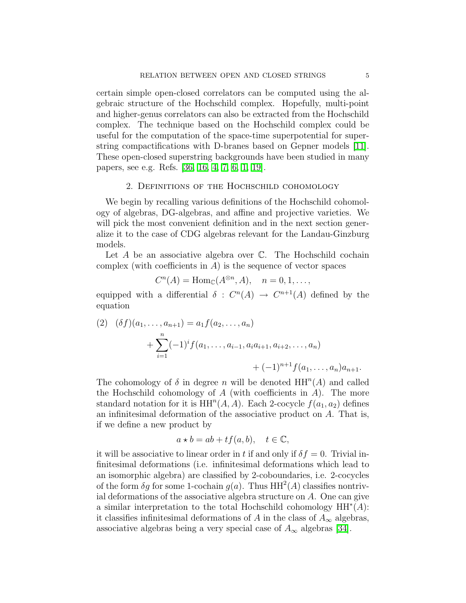certain simple open-closed correlators can be computed using the algebraic structure of the Hochschild complex. Hopefully, multi-point and higher-genus correlators can also be extracted from the Hochschild complex. The technique based on the Hochschild complex could be useful for the computation of the space-time superpotential for superstring compactifications with D-branes based on Gepner models [\[11\]](#page-26-9). These open-closed superstring backgrounds have been studied in many papers, see e.g. Refs. [\[36,](#page-27-9) [16,](#page-26-11) [4,](#page-25-1) [7,](#page-25-2) [6,](#page-25-3) [1,](#page-25-4) [19\]](#page-26-12).

#### 2. Definitions of the Hochschild cohomology

<span id="page-4-0"></span>We begin by recalling various definitions of the Hochschild cohomology of algebras, DG-algebras, and affine and projective varieties. We will pick the most convenient definition and in the next section generalize it to the case of CDG algebras relevant for the Landau-Ginzburg models.

Let  $A$  be an associative algebra over  $\mathbb C$ . The Hochschild cochain complex (with coefficients in  $A$ ) is the sequence of vector spaces

$$
C^n(A) = \text{Hom}_{\mathbb{C}}(A^{\otimes n}, A), \quad n = 0, 1, \dots,
$$

equipped with a differential  $\delta: C^n(A) \to C^{n+1}(A)$  defined by the equation

$$
(2) \quad (\delta f)(a_1, \ldots, a_{n+1}) = a_1 f(a_2, \ldots, a_n) + \sum_{i=1}^n (-1)^i f(a_1, \ldots, a_{i-1}, a_i a_{i+1}, a_{i+2}, \ldots, a_n) + (-1)^{n+1} f(a_1, \ldots, a_n) a_{n+1}.
$$

The cohomology of  $\delta$  in degree n will be denoted  $HH<sup>n</sup>(A)$  and called the Hochschild cohomology of  $A$  (with coefficients in  $A$ ). The more standard notation for it is  $HH^n(A, A)$ . Each 2-cocycle  $f(a_1, a_2)$  defines an infinitesimal deformation of the associative product on A. That is, if we define a new product by

$$
a \star b = ab + tf(a, b), \quad t \in \mathbb{C},
$$

it will be associative to linear order in t if and only if  $\delta f = 0$ . Trivial infinitesimal deformations (i.e. infinitesimal deformations which lead to an isomorphic algebra) are classified by 2-coboundaries, i.e. 2-cocycles of the form  $\delta g$  for some 1-cochain  $g(a)$ . Thus  $HH^2(A)$  classifies nontrivial deformations of the associative algebra structure on A. One can give a similar interpretation to the total Hochschild cohomology  $HH^*(A)$ : it classifies infinitesimal deformations of A in the class of  $A_{\infty}$  algebras, associative algebras being a very special case of  $A_{\infty}$  algebras [\[34\]](#page-27-10).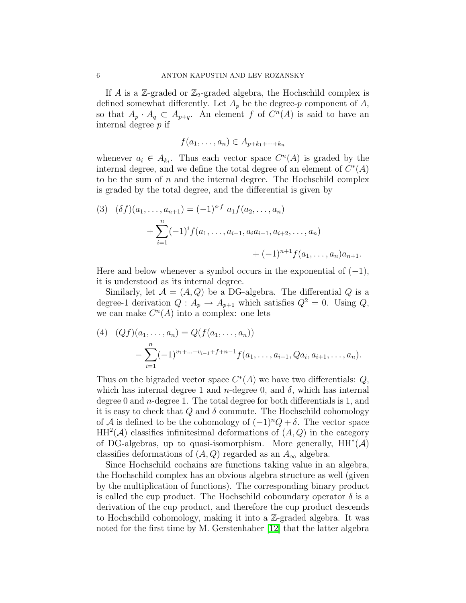If A is a Z-graded or  $\mathbb{Z}_2$ -graded algebra, the Hochschild complex is defined somewhat differently. Let  $A_p$  be the degree-p component of A, so that  $A_p \cdot A_q \subset A_{p+q}$ . An element f of  $C^n(A)$  is said to have an internal degree p if

$$
f(a_1,\ldots,a_n)\in A_{p+k_1+\cdots+k_n}
$$

whenever  $a_i \in A_{k_i}$ . Thus each vector space  $C^n(A)$  is graded by the internal degree, and we define the total degree of an element of  $C^*(A)$ to be the sum of  $n$  and the internal degree. The Hochschild complex is graded by the total degree, and the differential is given by

(3) 
$$
(\delta f)(a_1, ..., a_{n+1}) = (-1)^{a \cdot f} a_1 f(a_2, ..., a_n)
$$
  
+  $\sum_{i=1}^n (-1)^i f(a_1, ..., a_{i-1}, a_i a_{i+1}, a_{i+2}, ..., a_n)$   
+  $(-1)^{n+1} f(a_1, ..., a_n) a_{n+1}$ .

Here and below whenever a symbol occurs in the exponential of  $(-1)$ , it is understood as its internal degree.

Similarly, let  $\mathcal{A} = (A, Q)$  be a DG-algebra. The differential Q is a degree-1 derivation  $Q: A_p \to A_{p+1}$  which satisfies  $Q^2 = 0$ . Using  $Q$ , we can make  $C^n(A)$  into a complex: one lets

(4) 
$$
(Qf)(a_1,..., a_n) = Q(f(a_1,..., a_n))
$$
  

$$
- \sum_{i=1}^n (-1)^{v_1+...+v_{i-1}+f+n-1} f(a_1,..., a_{i-1}, Qa_i, a_{i+1},..., a_n).
$$

Thus on the bigraded vector space  $C^*(A)$  we have two differentials:  $Q$ , which has internal degree 1 and n-degree 0, and  $\delta$ , which has internal degree 0 and *n*-degree 1. The total degree for both differentials is 1, and it is easy to check that  $Q$  and  $\delta$  commute. The Hochschild cohomology of A is defined to be the cohomology of  $(-1)^n Q + \delta$ . The vector space  $HH<sup>2</sup>(A)$  classifies infinitesimal deformations of  $(A, Q)$  in the category of DG-algebras, up to quasi-isomorphism. More generally,  $HH^*(A)$ classifies deformations of  $(A, Q)$  regarded as an  $A_{\infty}$  algebra.

Since Hochschild cochains are functions taking value in an algebra, the Hochschild complex has an obvious algebra structure as well (given by the multiplication of functions). The corresponding binary product is called the cup product. The Hochschild coboundary operator  $\delta$  is a derivation of the cup product, and therefore the cup product descends to Hochschild cohomology, making it into a Z-graded algebra. It was noted for the first time by M. Gerstenhaber [\[12\]](#page-26-13) that the latter algebra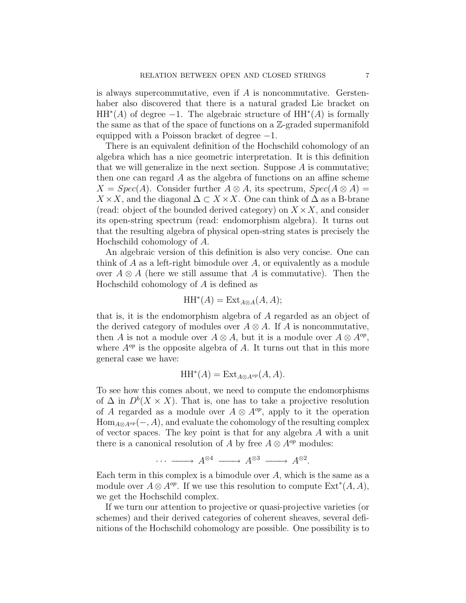is always supercommutative, even if  $A$  is noncommutative. Gerstenhaber also discovered that there is a natural graded Lie bracket on  $HH^*(A)$  of degree  $-1$ . The algebraic structure of  $HH^*(A)$  is formally the same as that of the space of functions on a  $\mathbb{Z}$ -graded supermanifold equipped with a Poisson bracket of degree  $-1$ .

There is an equivalent definition of the Hochschild cohomology of an algebra which has a nice geometric interpretation. It is this definition that we will generalize in the next section. Suppose  $A$  is commutative; then one can regard  $A$  as the algebra of functions on an affine scheme  $X = Spec(A)$ . Consider further  $A \otimes A$ , its spectrum,  $Spec(A \otimes A) =$  $X \times X$ , and the diagonal  $\Delta \subset X \times X$ . One can think of  $\Delta$  as a B-brane (read: object of the bounded derived category) on  $X \times X$ , and consider its open-string spectrum (read: endomorphism algebra). It turns out that the resulting algebra of physical open-string states is precisely the Hochschild cohomology of A.

An algebraic version of this definition is also very concise. One can think of  $A$  as a left-right bimodule over  $A$ , or equivalently as a module over  $A \otimes A$  (here we still assume that A is commutative). Then the Hochschild cohomology of A is defined as

$$
\operatorname{HH}\nolimits^*(A) = \operatorname{Ext}\nolimits_{A \otimes A}(A, A);
$$

that is, it is the endomorphism algebra of A regarded as an object of the derived category of modules over  $A \otimes A$ . If A is noncommutative, then A is not a module over  $A \otimes A$ , but it is a module over  $A \otimes A^{op}$ , where  $A^{op}$  is the opposite algebra of A. It turns out that in this more general case we have:

$$
\operatorname{HH}\nolimits^*(A) = \operatorname{Ext}\nolimits_{A \otimes A^{op}}(A, A).
$$

To see how this comes about, we need to compute the endomorphisms of  $\Delta$  in  $D^b(X \times X)$ . That is, one has to take a projective resolution of A regarded as a module over  $A \otimes A^{op}$ , apply to it the operation  $\text{Hom}_{A\otimes A^{op}}(-, A)$ , and evaluate the cohomology of the resulting complex of vector spaces. The key point is that for any algebra A with a unit there is a canonical resolution of A by free  $A \otimes A^{op}$  modules:

$$
\cdots \longrightarrow A^{\otimes 4} \longrightarrow A^{\otimes 3} \longrightarrow A^{\otimes 2}.
$$

Each term in this complex is a bimodule over  $A$ , which is the same as a module over  $A \otimes A^{op}$ . If we use this resolution to compute  $\text{Ext}^*(A, A)$ , we get the Hochschild complex.

If we turn our attention to projective or quasi-projective varieties (or schemes) and their derived categories of coherent sheaves, several definitions of the Hochschild cohomology are possible. One possibility is to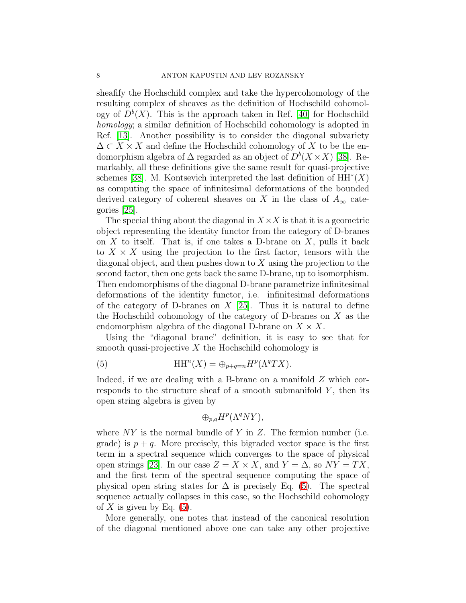sheafify the Hochschild complex and take the hypercohomology of the resulting complex of sheaves as the definition of Hochschild cohomology of  $D^b(X)$ . This is the approach taken in Ref. [\[40\]](#page-27-11) for Hochschild homology; a similar definition of Hochschild cohomology is adopted in Ref. [\[13\]](#page-26-14). Another possibility is to consider the diagonal subvariety  $\Delta \subset X \times X$  and define the Hochschild cohomology of X to be the endomorphism algebra of  $\Delta$  regarded as an object of  $D^b(X \times X)$  [\[38\]](#page-27-7). Remarkably, all these definitions give the same result for quasi-projective schemes [\[38\]](#page-27-7). M. Kontsevich interpreted the last definition of  $HH^*(X)$ as computing the space of infinitesimal deformations of the bounded derived category of coherent sheaves on X in the class of  $A_{\infty}$  categories [\[25\]](#page-26-15).

The special thing about the diagonal in  $X \times X$  is that it is a geometric object representing the identity functor from the category of D-branes on  $X$  to itself. That is, if one takes a D-brane on  $X$ , pulls it back to  $X \times X$  using the projection to the first factor, tensors with the diagonal object, and then pushes down to  $X$  using the projection to the second factor, then one gets back the same D-brane, up to isomorphism. Then endomorphisms of the diagonal D-brane parametrize infinitesimal deformations of the identity functor, i.e. infinitesimal deformations of the category of D-branes on  $X$  [\[25\]](#page-26-15). Thus it is natural to define the Hochschild cohomology of the category of D-branes on X as the endomorphism algebra of the diagonal D-brane on  $X \times X$ .

Using the "diagonal brane" definition, it is easy to see that for smooth quasi-projective  $X$  the Hochschild cohomology is

(5) 
$$
\operatorname{HH}\nolimits^n(X) = \oplus_{p+q=n} H^p(\Lambda^q TX).
$$

Indeed, if we are dealing with a B-brane on a manifold Z which corresponds to the structure sheaf of a smooth submanifold  $Y$ , then its open string algebra is given by

<span id="page-7-0"></span>
$$
\oplus_{p,q} H^p(\Lambda^q NY),
$$

where  $NY$  is the normal bundle of Y in Z. The fermion number (i.e. grade) is  $p + q$ . More precisely, this bigraded vector space is the first term in a spectral sequence which converges to the space of physical open strings [\[23\]](#page-26-16). In our case  $Z = X \times X$ , and  $Y = \Delta$ , so  $NY = TX$ , and the first term of the spectral sequence computing the space of physical open string states for  $\Delta$  is precisely Eq. [\(5\)](#page-7-0). The spectral sequence actually collapses in this case, so the Hochschild cohomology of X is given by Eq.  $(5)$ .

More generally, one notes that instead of the canonical resolution of the diagonal mentioned above one can take any other projective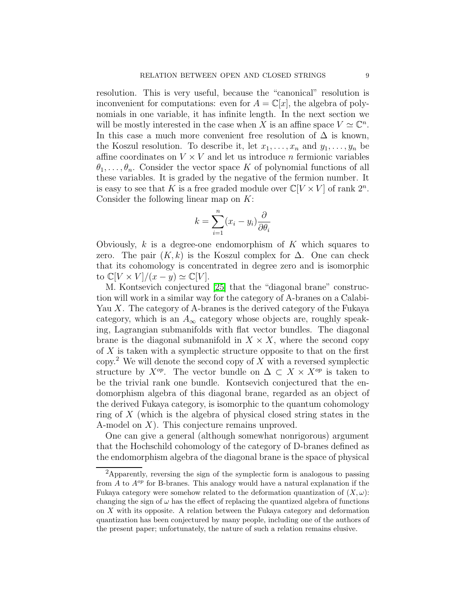resolution. This is very useful, because the "canonical" resolution is inconvenient for computations: even for  $A = \mathbb{C}[x]$ , the algebra of polynomials in one variable, it has infinite length. In the next section we will be mostly interested in the case when X is an affine space  $V \simeq \mathbb{C}^n$ . In this case a much more convenient free resolution of  $\Delta$  is known, the Koszul resolution. To describe it, let  $x_1, \ldots, x_n$  and  $y_1, \ldots, y_n$  be affine coordinates on  $V \times V$  and let us introduce *n* fermionic variables  $\theta_1, \ldots, \theta_n$ . Consider the vector space K of polynomial functions of all these variables. It is graded by the negative of the fermion number. It is easy to see that K is a free graded module over  $\mathbb{C}[V \times V]$  of rank  $2^n$ . Consider the following linear map on  $K$ :

$$
k = \sum_{i=1}^{n} (x_i - y_i) \frac{\partial}{\partial \theta_i}
$$

Obviously,  $k$  is a degree-one endomorphism of  $K$  which squares to zero. The pair  $(K, k)$  is the Koszul complex for  $\Delta$ . One can check that its cohomology is concentrated in degree zero and is isomorphic to  $\mathbb{C}[V \times V]/(x - y) \simeq \mathbb{C}[V]$ .

M. Kontsevich conjectured [\[25\]](#page-26-15) that the "diagonal brane" construction will work in a similar way for the category of A-branes on a Calabi-Yau X. The category of A-branes is the derived category of the Fukaya category, which is an  $A_{\infty}$  category whose objects are, roughly speaking, Lagrangian submanifolds with flat vector bundles. The diagonal brane is the diagonal submanifold in  $X \times X$ , where the second copy of  $X$  is taken with a symplectic structure opposite to that on the first copy.<sup>2</sup> We will denote the second copy of  $X$  with a reversed symplectic structure by  $X^{op}$ . The vector bundle on  $\Delta \subset X \times X^{op}$  is taken to be the trivial rank one bundle. Kontsevich conjectured that the endomorphism algebra of this diagonal brane, regarded as an object of the derived Fukaya category, is isomorphic to the quantum cohomology ring of  $X$  (which is the algebra of physical closed string states in the A-model on  $X$ ). This conjecture remains unproved.

One can give a general (although somewhat nonrigorous) argument that the Hochschild cohomology of the category of D-branes defined as the endomorphism algebra of the diagonal brane is the space of physical

<sup>2</sup>Apparently, reversing the sign of the symplectic form is analogous to passing from  $A$  to  $A^{op}$  for B-branes. This analogy would have a natural explanation if the Fukaya category were somehow related to the deformation quantization of  $(X, \omega)$ : changing the sign of  $\omega$  has the effect of replacing the quantized algebra of functions on X with its opposite. A relation between the Fukaya category and deformation quantization has been conjectured by many people, including one of the authors of the present paper; unfortunately, the nature of such a relation remains elusive.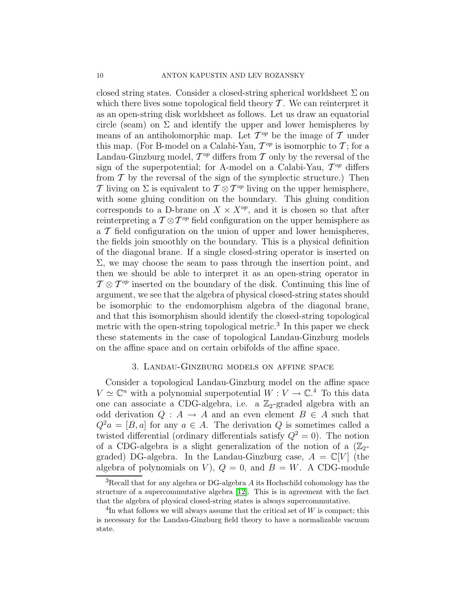closed string states. Consider a closed-string spherical worldsheet  $\Sigma$  on which there lives some topological field theory  $\mathcal T$ . We can reinterpret it as an open-string disk worldsheet as follows. Let us draw an equatorial circle (seam) on  $\Sigma$  and identify the upper and lower hemispheres by means of an antiholomorphic map. Let  $\mathcal{T}^{op}$  be the image of  $\mathcal T$  under this map. (For B-model on a Calabi-Yau,  $\mathcal{T}^{op}$  is isomorphic to  $\mathcal{T}$ ; for a Landau-Ginzburg model,  $\mathcal{T}^{op}$  differs from  $\mathcal T$  only by the reversal of the sign of the superpotential; for A-model on a Calabi-Yau,  $\mathcal{T}^{op}$  differs from  $\mathcal T$  by the reversal of the sign of the symplectic structure.) Then T living on  $\Sigma$  is equivalent to  $\mathcal{T} \otimes \mathcal{T}^{op}$  living on the upper hemisphere, with some gluing condition on the boundary. This gluing condition corresponds to a D-brane on  $X \times X^{op}$ , and it is chosen so that after reinterpreting a  $\mathcal{T} \otimes \mathcal{T}^{op}$  field configuration on the upper hemisphere as a  $\mathcal T$  field configuration on the union of upper and lower hemispheres, the fields join smoothly on the boundary. This is a physical definition of the diagonal brane. If a single closed-string operator is inserted on  $\Sigma$ , we may choose the seam to pass through the insertion point, and then we should be able to interpret it as an open-string operator in  $T \otimes T^{op}$  inserted on the boundary of the disk. Continuing this line of argument, we see that the algebra of physical closed-string states should be isomorphic to the endomorphism algebra of the diagonal brane, and that this isomorphism should identify the closed-string topological metric with the open-string topological metric.<sup>3</sup> In this paper we check these statements in the case of topological Landau-Ginzburg models on the affine space and on certain orbifolds of the affine space.

## 3. Landau-Ginzburg models on affine space

Consider a topological Landau-Ginzburg model on the affine space  $V \simeq \mathbb{C}^n$  with a polynomial superpotential  $W: V \to \mathbb{C}^4$ . To this data one can associate a CDG-algebra, i.e. a  $\mathbb{Z}_2$ -graded algebra with an odd derivation  $Q : A \to A$  and an even element  $B \in A$  such that  $Q^2a = [B, a]$  for any  $a \in A$ . The derivation Q is sometimes called a twisted differential (ordinary differentials satisfy  $Q^2 = 0$ ). The notion of a CDG-algebra is a slight generalization of the notion of a  $(\mathbb{Z}_2)$ graded) DG-algebra. In the Landau-Ginzburg case,  $A = \mathbb{C}[V]$  (the algebra of polynomials on V),  $Q = 0$ , and  $B = W$ . A CDG-module

 ${}^{3}$ Recall that for any algebra or DG-algebra A its Hochschild cohomology has the structure of a supercommutative algebra [\[12\]](#page-26-13). This is in agreement with the fact that the algebra of physical closed-string states is always supercommutative.

<sup>&</sup>lt;sup>4</sup>In what follows we will always assume that the critical set of  $W$  is compact; this is necessary for the Landau-Ginzburg field theory to have a normalizable vacuum state.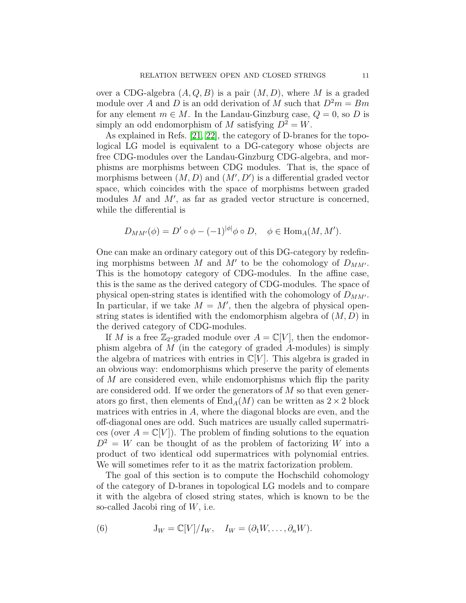over a CDG-algebra  $(A, Q, B)$  is a pair  $(M, D)$ , where M is a graded module over A and D is an odd derivation of M such that  $D^2m = Bm$ for any element  $m \in M$ . In the Landau-Ginzburg case,  $Q = 0$ , so D is simply an odd endomorphism of M satisfying  $D^2 = W$ .

As explained in Refs. [\[21,](#page-26-6) [22\]](#page-26-7), the category of D-branes for the topological LG model is equivalent to a DG-category whose objects are free CDG-modules over the Landau-Ginzburg CDG-algebra, and morphisms are morphisms between CDG modules. That is, the space of morphisms between  $(M, D)$  and  $(M', D')$  is a differential graded vector space, which coincides with the space of morphisms between graded modules  $M$  and  $M'$ , as far as graded vector structure is concerned, while the differential is

$$
D_{MM'}(\phi) = D' \circ \phi - (-1)^{|\phi|} \phi \circ D, \quad \phi \in \text{Hom}_A(M, M').
$$

One can make an ordinary category out of this DG-category by redefining morphisms between M and M' to be the cohomology of  $D_{MM'}$ . This is the homotopy category of CDG-modules. In the affine case, this is the same as the derived category of CDG-modules. The space of physical open-string states is identified with the cohomology of  $D_{MM'}$ . In particular, if we take  $M = M'$ , then the algebra of physical openstring states is identified with the endomorphism algebra of  $(M, D)$  in the derived category of CDG-modules.

If M is a free  $\mathbb{Z}_2$ -graded module over  $A = \mathbb{C}[V]$ , then the endomorphism algebra of M (in the category of graded A-modules) is simply the algebra of matrices with entries in  $\mathbb{C}[V]$ . This algebra is graded in an obvious way: endomorphisms which preserve the parity of elements of M are considered even, while endomorphisms which flip the parity are considered odd. If we order the generators of  $M$  so that even generators go first, then elements of  $\text{End}_A(M)$  can be written as  $2 \times 2$  block matrices with entries in  $A$ , where the diagonal blocks are even, and the off-diagonal ones are odd. Such matrices are usually called supermatrices (over  $A = \mathbb{C}[V]$ ). The problem of finding solutions to the equation  $D^2 = W$  can be thought of as the problem of factorizing W into a product of two identical odd supermatrices with polynomial entries. We will sometimes refer to it as the matrix factorization problem.

<span id="page-10-0"></span>The goal of this section is to compute the Hochschild cohomology of the category of D-branes in topological LG models and to compare it with the algebra of closed string states, which is known to be the so-called Jacobi ring of  $W$ , i.e.

(6) 
$$
J_W = \mathbb{C}[V]/I_W, \quad I_W = (\partial_1 W, \dots, \partial_n W).
$$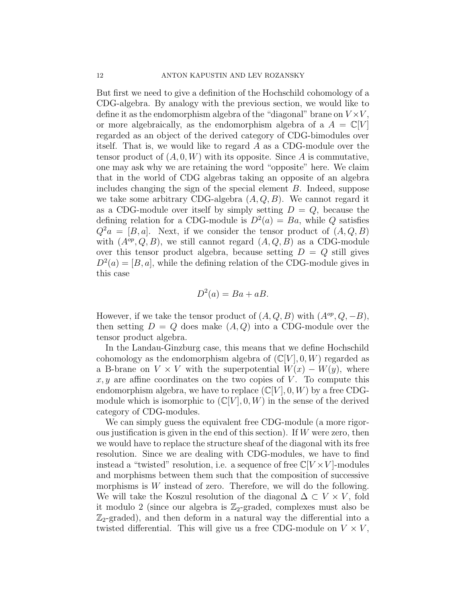But first we need to give a definition of the Hochschild cohomology of a CDG-algebra. By analogy with the previous section, we would like to define it as the endomorphism algebra of the "diagonal" brane on  $V \times V$ , or more algebraically, as the endomorphism algebra of a  $A = \mathbb{C}[V]$ regarded as an object of the derived category of CDG-bimodules over itself. That is, we would like to regard A as a CDG-module over the tensor product of  $(A, 0, W)$  with its opposite. Since A is commutative, one may ask why we are retaining the word "opposite" here. We claim that in the world of CDG algebras taking an opposite of an algebra includes changing the sign of the special element B. Indeed, suppose we take some arbitrary CDG-algebra  $(A, Q, B)$ . We cannot regard it as a CDG-module over itself by simply setting  $D = Q$ , because the defining relation for a CDG-module is  $D^2(a) = Ba$ , while Q satisfies  $Q^2a = [B, a]$ . Next, if we consider the tensor product of  $(A, Q, B)$ with  $(A^{op}, Q, B)$ , we still cannot regard  $(A, Q, B)$  as a CDG-module over this tensor product algebra, because setting  $D = Q$  still gives  $D^2(a) = [B, a]$ , while the defining relation of the CDG-module gives in this case

$$
D^2(a) = Ba + aB.
$$

However, if we take the tensor product of  $(A, Q, B)$  with  $(A^{op}, Q, -B)$ , then setting  $D = Q$  does make  $(A, Q)$  into a CDG-module over the tensor product algebra.

In the Landau-Ginzburg case, this means that we define Hochschild cohomology as the endomorphism algebra of  $(\mathbb{C}[V], 0, W)$  regarded as a B-brane on  $V \times V$  with the superpotential  $W(x) - W(y)$ , where  $x, y$  are affine coordinates on the two copies of V. To compute this endomorphism algebra, we have to replace  $(\mathbb{C}[V], 0, W)$  by a free CDGmodule which is isomorphic to  $(\mathbb{C}[V], 0, W)$  in the sense of the derived category of CDG-modules.

We can simply guess the equivalent free CDG-module (a more rigorous justification is given in the end of this section). If  $W$  were zero, then we would have to replace the structure sheaf of the diagonal with its free resolution. Since we are dealing with CDG-modules, we have to find instead a "twisted" resolution, i.e. a sequence of free  $\mathbb{C}[V \times V]$ -modules and morphisms between them such that the composition of successive morphisms is W instead of zero. Therefore, we will do the following. We will take the Koszul resolution of the diagonal  $\Delta \subset V \times V$ , fold it modulo 2 (since our algebra is  $\mathbb{Z}_2$ -graded, complexes must also be  $\mathbb{Z}_2$ -graded), and then deform in a natural way the differential into a twisted differential. This will give us a free CDG-module on  $V \times V$ ,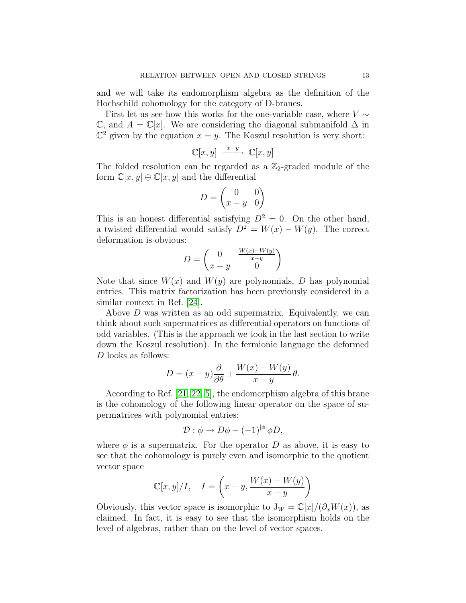and we will take its endomorphism algebra as the definition of the Hochschild cohomology for the category of D-branes.

First let us see how this works for the one-variable case, where  $V \sim$  $\mathbb{C}$ , and  $A = \mathbb{C}[x]$ . We are considering the diagonal submanifold  $\Delta$  in  $\mathbb{C}^2$  given by the equation  $x = y$ . The Koszul resolution is very short:

$$
\mathbb{C}[x,y] \xrightarrow{x-y} \mathbb{C}[x,y]
$$

The folded resolution can be regarded as a  $\mathbb{Z}_2$ -graded module of the form  $\mathbb{C}[x, y] \oplus \mathbb{C}[x, y]$  and the differential

$$
D = \begin{pmatrix} 0 & 0 \\ x - y & 0 \end{pmatrix}
$$

This is an honest differential satisfying  $D^2 = 0$ . On the other hand, a twisted differential would satisfy  $D^2 = W(x) - W(y)$ . The correct deformation is obvious:

$$
D = \begin{pmatrix} 0 & \frac{W(x) - W(y)}{x - y} \\ x - y & 0 \end{pmatrix}
$$

Note that since  $W(x)$  and  $W(y)$  are polynomials, D has polynomial entries. This matrix factorization has been previously considered in a similar context in Ref. [\[24\]](#page-26-17).

Above D was written as an odd supermatrix. Equivalently, we can think about such supermatrices as differential operators on functions of odd variables. (This is the approach we took in the last section to write down the Koszul resolution). In the fermionic language the deformed D looks as follows:

$$
D = (x - y)\frac{\partial}{\partial \theta} + \frac{W(x) - W(y)}{x - y} \theta.
$$

According to Ref. [\[21,](#page-26-6) [22,](#page-26-7) [5\]](#page-25-0), the endomorphism algebra of this brane is the cohomology of the following linear operator on the space of supermatrices with polynomial entries:

$$
\mathcal{D} : \phi \to D\phi - (-1)^{|\phi|} \phi D,
$$

where  $\phi$  is a supermatrix. For the operator D as above, it is easy to see that the cohomology is purely even and isomorphic to the quotient vector space

$$
\mathbb{C}[x,y]/I, \quad I = \left(x - y, \frac{W(x) - W(y)}{x - y}\right)
$$

Obviously, this vector space is isomorphic to  $J_W = \mathbb{C}[x]/(\partial_x W(x))$ , as claimed. In fact, it is easy to see that the isomorphism holds on the level of algebras, rather than on the level of vector spaces.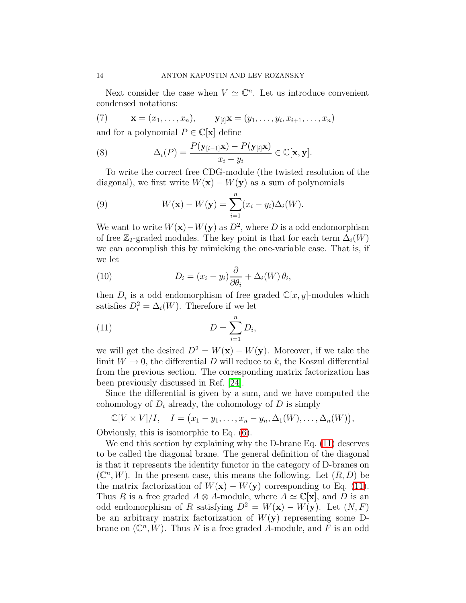Next consider the case when  $V \simeq \mathbb{C}^n$ . Let us introduce convenient condensed notations:

<span id="page-13-1"></span>(7) 
$$
\mathbf{x} = (x_1, \dots, x_n), \quad \mathbf{y}_{[i]}\mathbf{x} = (y_1, \dots, y_i, x_{i+1}, \dots, x_n)
$$
  
and for a polynomial  $P \in \mathbb{C}[\mathbf{x}]$  define

(8) 
$$
\Delta_i(P) = \frac{P(\mathbf{y}_{[i-1]}\mathbf{x}) - P(\mathbf{y}_{[i]}\mathbf{x})}{x_i - y_i} \in \mathbb{C}[\mathbf{x}, \mathbf{y}].
$$

To write the correct free CDG-module (the twisted resolution of the diagonal), we first write  $W(\mathbf{x}) - W(\mathbf{y})$  as a sum of polynomials

(9) 
$$
W(\mathbf{x}) - W(\mathbf{y}) = \sum_{i=1}^{n} (x_i - y_i) \Delta_i(W).
$$

<span id="page-13-2"></span>We want to write  $W(\mathbf{x}) - W(\mathbf{y})$  as  $D^2$ , where D is a odd endomorphism of free  $\mathbb{Z}_2$ -graded modules. The key point is that for each term  $\Delta_i(W)$ we can accomplish this by mimicking the one-variable case. That is, if we let

(10) 
$$
D_i = (x_i - y_i) \frac{\partial}{\partial \theta_i} + \Delta_i(W) \theta_i,
$$

<span id="page-13-0"></span>then  $D_i$  is a odd endomorphism of free graded  $\mathbb{C}[x, y]$ -modules which satisfies  $D_i^2 = \Delta_i(W)$ . Therefore if we let

$$
(11) \t\t D = \sum_{i=1}^{n} D_i,
$$

we will get the desired  $D^2 = W(\mathbf{x}) - W(\mathbf{y})$ . Moreover, if we take the limit  $W \to 0$ , the differential D will reduce to k, the Koszul differential from the previous section. The corresponding matrix factorization has been previously discussed in Ref. [\[24\]](#page-26-17).

Since the differential is given by a sum, and we have computed the cohomology of  $D_i$  already, the cohomology of  $D$  is simply

$$
\mathbb{C}[V \times V]/I, \quad I = (x_1 - y_1, \dots, x_n - y_n, \Delta_1(W), \dots, \Delta_n(W)),
$$

Obviously, this is isomorphic to Eq. [\(6\)](#page-10-0).

We end this section by explaining why the D-brane Eq.  $(11)$  deserves to be called the diagonal brane. The general definition of the diagonal is that it represents the identity functor in the category of D-branes on  $(\mathbb{C}^n, W)$ . In the present case, this means the following. Let  $(R, D)$  be the matrix factorization of  $W(\mathbf{x}) - W(\mathbf{y})$  corresponding to Eq. [\(11\)](#page-13-0). Thus R is a free graded  $A \otimes A$ -module, where  $A \simeq \mathbb{C}[\mathbf{x}]$ , and D is an odd endomorphism of R satisfying  $D^2 = W(\mathbf{x}) - W(\mathbf{y})$ . Let  $(N, F)$ be an arbitrary matrix factorization of  $W(y)$  representing some Dbrane on  $(\mathbb{C}^n, W)$ . Thus N is a free graded A-module, and F is an odd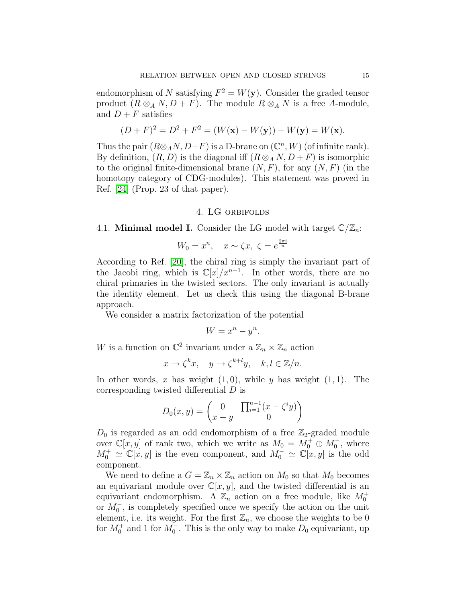endomorphism of N satisfying  $F^2 = W(y)$ . Consider the graded tensor product  $(R \otimes_A N, D + F)$ . The module  $R \otimes_A N$  is a free A-module, and  $D + F$  satisfies

$$
(D+F)^{2} = D^{2} + F^{2} = (W(\mathbf{x}) - W(\mathbf{y})) + W(\mathbf{y}) = W(\mathbf{x}).
$$

Thus the pair  $(R \otimes_A N, D+F)$  is a D-brane on  $(\mathbb{C}^n, W)$  (of infinite rank). By definition,  $(R, D)$  is the diagonal iff  $(R \otimes_A N, D + F)$  is isomorphic to the original finite-dimensional brane  $(N, F)$ , for any  $(N, F)$  (in the homotopy category of CDG-modules). This statement was proved in Ref. [\[24\]](#page-26-17) (Prop. 23 of that paper).

## 4. LG orbifolds

## 4.1. **Minimal model I.** Consider the LG model with target  $\mathbb{C}/\mathbb{Z}_n$ :

$$
W_0 = x^n, \quad x \sim \zeta x, \ \zeta = e^{\frac{2\pi i}{n}}
$$

According to Ref. [\[20\]](#page-26-10), the chiral ring is simply the invariant part of the Jacobi ring, which is  $\mathbb{C}[x]/x^{n-1}$ . In other words, there are no chiral primaries in the twisted sectors. The only invariant is actually the identity element. Let us check this using the diagonal B-brane approach.

We consider a matrix factorization of the potential

$$
W = x^n - y^n
$$

.

W is a function on  $\mathbb{C}^2$  invariant under a  $\mathbb{Z}_n \times \mathbb{Z}_n$  action

$$
x \to \zeta^k x, \quad y \to \zeta^{k+l} y, \quad k, l \in \mathbb{Z}/n.
$$

In other words, x has weight  $(1, 0)$ , while y has weight  $(1, 1)$ . The corresponding twisted differential D is

$$
D_0(x, y) = \begin{pmatrix} 0 & \prod_{i=1}^{n-1} (x - \zeta^i y) \\ x - y & 0 \end{pmatrix}
$$

 $D_0$  is regarded as an odd endomorphism of a free  $\mathbb{Z}_2$ -graded module over  $\mathbb{C}[x, y]$  of rank two, which we write as  $M_0 = M_0^+ \oplus M_0^-$ , where  $M_0^+ \simeq \mathbb{C}[x, y]$  is the even component, and  $M_0^- \simeq \mathbb{C}[x, y]$  is the odd component.

We need to define a  $G = \mathbb{Z}_n \times \mathbb{Z}_n$  action on  $M_0$  so that  $M_0$  becomes an equivariant module over  $\mathbb{C}[x, y]$ , and the twisted differential is an equivariant endomorphism. A  $\mathbb{Z}_n$  action on a free module, like  $M_0^+$ or  $M_0^-$ , is completely specified once we specify the action on the unit element, i.e. its weight. For the first  $\mathbb{Z}_n$ , we choose the weights to be 0 for  $M_0^+$  and 1 for  $M_0^-$ . This is the only way to make  $D_0$  equivariant, up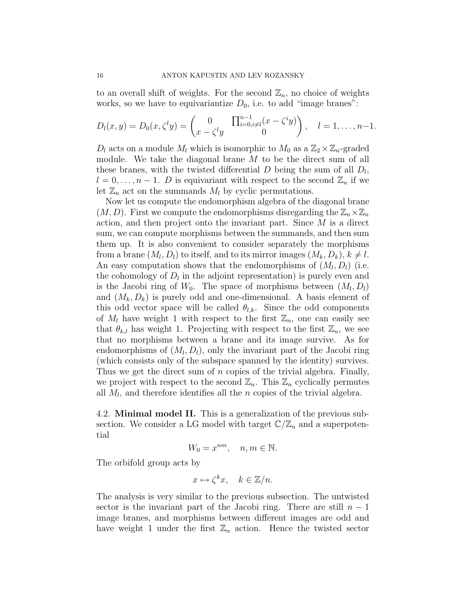to an overall shift of weights. For the second  $\mathbb{Z}_n$ , no choice of weights works, so we have to equivariantize  $D_0$ , i.e. to add "image branes":

$$
D_l(x,y) = D_0(x,\zeta^l y) = \begin{pmatrix} 0 & \prod_{i=0, i \neq l}^{n-1} (x - \zeta^i y) \\ x - \zeta^l y & 0 \end{pmatrix}, \quad l = 1, \ldots, n-1.
$$

 $D_l$  acts on a module  $M_l$  which is isomorphic to  $M_0$  as a  $\mathbb{Z}_2 \times \mathbb{Z}_n$ -graded module. We take the diagonal brane M to be the direct sum of all these branes, with the twisted differential  $D$  being the sum of all  $D_l$ ,  $l = 0, \ldots, n-1$ . D is equivariant with respect to the second  $\mathbb{Z}_n$  if we let  $\mathbb{Z}_n$  act on the summands  $M_l$  by cyclic permutations.

Now let us compute the endomorphism algebra of the diagonal brane  $(M, D)$ . First we compute the endomorphisms disregarding the  $\mathbb{Z}_n \times \mathbb{Z}_n$ action, and then project onto the invariant part. Since  $M$  is a direct sum, we can compute morphisms between the summands, and then sum them up. It is also convenient to consider separately the morphisms from a brane  $(M_l, D_l)$  to itself, and to its mirror images  $(M_k, D_k)$ ,  $k \neq l$ . An easy computation shows that the endomorphisms of  $(M_l, D_l)$  (i.e. the cohomology of  $D_l$  in the adjoint representation) is purely even and is the Jacobi ring of  $W_0$ . The space of morphisms between  $(M_l, D_l)$ and  $(M_k, D_k)$  is purely odd and one-dimensional. A basis element of this odd vector space will be called  $\theta_{l,k}$ . Since the odd components of  $M_l$  have weight 1 with respect to the first  $\mathbb{Z}_n$ , one can easily see that  $\theta_{k,l}$  has weight 1. Projecting with respect to the first  $\mathbb{Z}_n$ , we see that no morphisms between a brane and its image survive. As for endomorphisms of  $(M_l, D_l)$ , only the invariant part of the Jacobi ring (which consists only of the subspace spanned by the identity) survives. Thus we get the direct sum of  $n$  copies of the trivial algebra. Finally, we project with respect to the second  $\mathbb{Z}_n$ . This  $\mathbb{Z}_n$  cyclically permutes all  $M_l$ , and therefore identifies all the n copies of the trivial algebra.

4.2. Minimal model II. This is a generalization of the previous subsection. We consider a LG model with target  $\mathbb{C}/\mathbb{Z}_n$  and a superpotential

$$
W_0 = x^{nm}, \quad n, m \in \mathbb{N}.
$$

The orbifold group acts by

$$
x \mapsto \zeta^k x, \quad k \in \mathbb{Z}/n.
$$

The analysis is very similar to the previous subsection. The untwisted sector is the invariant part of the Jacobi ring. There are still  $n-1$ image branes, and morphisms between different images are odd and have weight 1 under the first  $\mathbb{Z}_n$  action. Hence the twisted sector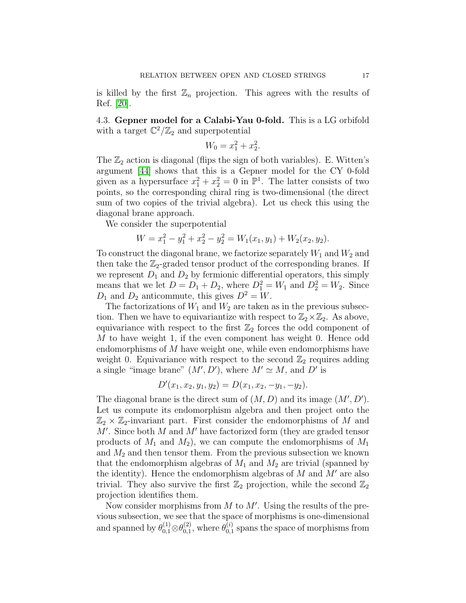is killed by the first  $\mathbb{Z}_n$  projection. This agrees with the results of Ref. [\[20\]](#page-26-10).

4.3. Gepner model for a Calabi-Yau 0-fold. This is a LG orbifold with a target  $\mathbb{C}^2/\mathbb{Z}_2$  and superpotential

$$
W_0 = x_1^2 + x_2^2.
$$

The  $\mathbb{Z}_2$  action is diagonal (flips the sign of both variables). E. Witten's argument [\[44\]](#page-27-12) shows that this is a Gepner model for the CY 0-fold given as a hypersurface  $x_1^2 + x_2^2 = 0$  in  $\mathbb{P}^1$ . The latter consists of two points, so the corresponding chiral ring is two-dimensional (the direct sum of two copies of the trivial algebra). Let us check this using the diagonal brane approach.

We consider the superpotential

$$
W = x_1^2 - y_1^2 + x_2^2 - y_2^2 = W_1(x_1, y_1) + W_2(x_2, y_2).
$$

To construct the diagonal brane, we factorize separately  $W_1$  and  $W_2$  and then take the  $\mathbb{Z}_2$ -graded tensor product of the corresponding branes. If we represent  $D_1$  and  $D_2$  by fermionic differential operators, this simply means that we let  $D = D_1 + D_2$ , where  $D_1^2 = W_1$  and  $D_2^2 = W_2$ . Since  $D_1$  and  $D_2$  anticommute, this gives  $D^2 = W$ .

The factorizations of  $W_1$  and  $W_2$  are taken as in the previous subsection. Then we have to equivariantize with respect to  $\mathbb{Z}_2\times\mathbb{Z}_2$ . As above, equivariance with respect to the first  $\mathbb{Z}_2$  forces the odd component of M to have weight 1, if the even component has weight 0. Hence odd endomorphisms of M have weight one, while even endomorphisms have weight 0. Equivariance with respect to the second  $\mathbb{Z}_2$  requires adding a single "image brane"  $(M', D')$ , where  $M' \simeq M$ , and  $D'$  is

$$
D'(x_1, x_2, y_1, y_2) = D(x_1, x_2, -y_1, -y_2).
$$

The diagonal brane is the direct sum of  $(M, D)$  and its image  $(M', D')$ . Let us compute its endomorphism algebra and then project onto the  $\mathbb{Z}_2 \times \mathbb{Z}_2$ -invariant part. First consider the endomorphisms of M and  $M'$ . Since both  $M$  and  $M'$  have factorized form (they are graded tensor products of  $M_1$  and  $M_2$ ), we can compute the endomorphisms of  $M_1$ and  $M_2$  and then tensor them. From the previous subsection we known that the endomorphism algebras of  $M_1$  and  $M_2$  are trivial (spanned by the identity). Hence the endomorphism algebras of  $M$  and  $M'$  are also trivial. They also survive the first  $\mathbb{Z}_2$  projection, while the second  $\mathbb{Z}_2$ projection identifies them.

Now consider morphisms from  $M$  to  $M'$ . Using the results of the previous subsection, we see that the space of morphisms is one-dimensional and spanned by  $\theta_{0,1}^{(1)} \otimes \theta_{0,1}^{(2)}$  $_{0,1}^{(2)}$ , where  $\theta_{0,1}^{(i)}$  $_{0,1}^{(i)}$  spans the space of morphisms from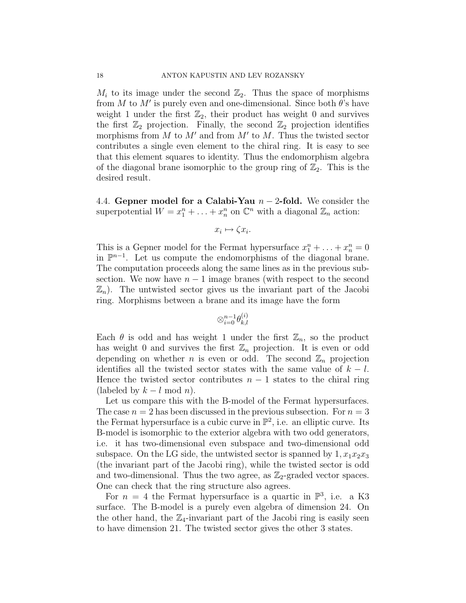$M_i$  to its image under the second  $\mathbb{Z}_2$ . Thus the space of morphisms from M to M' is purely even and one-dimensional. Since both  $\theta$ 's have weight 1 under the first  $\mathbb{Z}_2$ , their product has weight 0 and survives the first  $\mathbb{Z}_2$  projection. Finally, the second  $\mathbb{Z}_2$  projection identifies morphisms from  $M$  to  $M'$  and from  $M'$  to  $M$ . Thus the twisted sector contributes a single even element to the chiral ring. It is easy to see that this element squares to identity. Thus the endomorphism algebra of the diagonal brane isomorphic to the group ring of  $\mathbb{Z}_2$ . This is the desired result.

4.4. Gepner model for a Calabi-Yau  $n-2$ -fold. We consider the superpotential  $W = x_1^n + \ldots + x_n^n$  on  $\mathbb{C}^n$  with a diagonal  $\mathbb{Z}_n$  action:

$$
x_i \mapsto \zeta x_i.
$$

This is a Gepner model for the Fermat hypersurface  $x_1^n + \ldots + x_n^n = 0$ in  $\mathbb{P}^{n-1}$ . Let us compute the endomorphisms of the diagonal brane. The computation proceeds along the same lines as in the previous subsection. We now have  $n-1$  image branes (with respect to the second  $\mathbb{Z}_n$ ). The untwisted sector gives us the invariant part of the Jacobi ring. Morphisms between a brane and its image have the form

$$
\otimes_{i=0}^{n-1}\theta_{k,l}^{(i)}
$$

Each  $\theta$  is odd and has weight 1 under the first  $\mathbb{Z}_n$ , so the product has weight 0 and survives the first  $\mathbb{Z}_n$  projection. It is even or odd depending on whether *n* is even or odd. The second  $\mathbb{Z}_n$  projection identifies all the twisted sector states with the same value of  $k - l$ . Hence the twisted sector contributes  $n-1$  states to the chiral ring (labeled by  $k - l \mod n$ ).

Let us compare this with the B-model of the Fermat hypersurfaces. The case  $n = 2$  has been discussed in the previous subsection. For  $n = 3$ the Fermat hypersurface is a cubic curve in  $\mathbb{P}^2$ , i.e. an elliptic curve. Its B-model is isomorphic to the exterior algebra with two odd generators, i.e. it has two-dimensional even subspace and two-dimensional odd subspace. On the LG side, the untwisted sector is spanned by  $1, x_1x_2x_3$ (the invariant part of the Jacobi ring), while the twisted sector is odd and two-dimensional. Thus the two agree, as  $\mathbb{Z}_2$ -graded vector spaces. One can check that the ring structure also agrees.

For  $n = 4$  the Fermat hypersurface is a quartic in  $\mathbb{P}^3$ , i.e. a K3 surface. The B-model is a purely even algebra of dimension 24. On the other hand, the  $\mathbb{Z}_4$ -invariant part of the Jacobi ring is easily seen to have dimension 21. The twisted sector gives the other 3 states.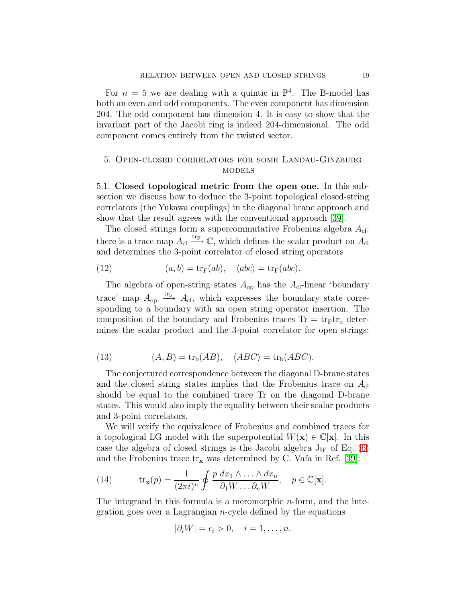For  $n = 5$  we are dealing with a quintic in  $\mathbb{P}^4$ . The B-model has both an even and odd components. The even component has dimension 204. The odd component has dimension 4. It is easy to show that the invariant part of the Jacobi ring is indeed 204-dimensional. The odd component comes entirely from the twisted sector.

## 5. Open-closed correlators for some Landau-Ginzburg **MODELS**

5.1. Closed topological metric from the open one. In this subsection we discuss how to deduce the 3-point topological closed-string correlators (the Yukawa couplings) in the diagonal brane approach and show that the result agrees with the conventional approach [\[39\]](#page-27-8).

<span id="page-18-0"></span>The closed strings form a supercommutative Frobenius algebra  $A_{\text{cl}}$ : there is a trace map  $A_{\text{cl}} \xrightarrow{\text{tr}_{\text{F}}} \mathbb{C}$ , which defines the scalar product on  $A_{\text{cl}}$ and determines the 3-point correlator of closed string operators

(12) 
$$
(a, b) = \text{tr}_{F}(ab), \quad \langle abc \rangle = \text{tr}_{F}(abc).
$$

The algebra of open-string states  $A_{op}$  has the  $A_{cl}$ -linear 'boundary' trace' map  $A_{op} \stackrel{\text{tr}_{b}}{\longrightarrow} A_{cl}$ , which expresses the boundary state corresponding to a boundary with an open string operator insertion. The composition of the boundary and Frobenius traces  $Tr = tr_F tr_b$  determines the scalar product and the 3-point correlator for open strings:

(13) 
$$
(A, B) = \text{tr}_{\text{b}}(AB), \quad \langle ABC \rangle = \text{tr}_{\text{b}}(ABC).
$$

The conjectured correspondence between the diagonal D-brane states and the closed string states implies that the Frobenius trace on  $A_{\rm cl}$ should be equal to the combined trace Tr on the diagonal D-brane states. This would also imply the equality between their scalar products and 3-point correlators.

We will verify the equivalence of Frobenius and combined traces for a topological LG model with the superpotential  $W(\mathbf{x}) \in \mathbb{C}[\mathbf{x}]$ . In this case the algebra of closed strings is the Jacobi algebra  $J_W$  of Eq. [\(6\)](#page-10-0) and the Frobenius trace  $tr_{\mathbf{x}}$  was determined by C. Vafa in Ref. [\[39\]](#page-27-8):

(14) 
$$
\operatorname{tr}_{\mathbf{x}}(p) = \frac{1}{(2\pi i)^n} \oint \frac{p \, dx_1 \wedge \ldots \wedge dx_n}{\partial_1 W \ldots \partial_n W}, \quad p \in \mathbb{C}[\mathbf{x}].
$$

The integrand in this formula is a meromorphic *n*-form, and the integration goes over a Lagrangian *n*-cycle defined by the equations

<span id="page-18-1"></span>
$$
|\partial_i W| = \epsilon_i > 0, \quad i = 1, \dots, n.
$$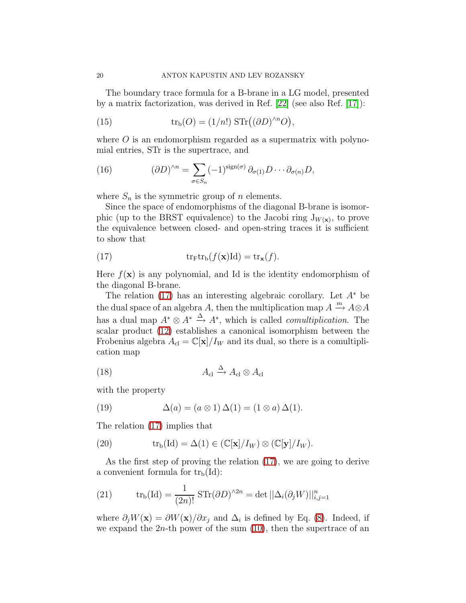<span id="page-19-2"></span>The boundary trace formula for a B-brane in a LG model, presented by a matrix factorization, was derived in Ref. [\[22\]](#page-26-7) (see also Ref. [\[17\]](#page-26-18)):

(15) 
$$
\operatorname{tr}_{\mathbf{b}}(O) = (1/n!) \operatorname{STr}((\partial D)^{\wedge n}O),
$$

where  $O$  is an endomorphism regarded as a supermatrix with polynomial entries, STr is the supertrace, and

(16) 
$$
(\partial D)^{\wedge n} = \sum_{\sigma \in S_n} (-1)^{\text{sign}(\sigma)} \partial_{\sigma(1)} D \cdots \partial_{\sigma(n)} D,
$$

where  $S_n$  is the symmetric group of n elements.

<span id="page-19-0"></span>Since the space of endomorphisms of the diagonal B-brane is isomorphic (up to the BRST equivalence) to the Jacobi ring  $J_{W(\mathbf{x})}$ , to prove the equivalence between closed- and open-string traces it is sufficient to show that

(17) 
$$
\operatorname{tr}_{\mathbf{F}} \operatorname{tr}_{\mathbf{b}}(f(\mathbf{x}) \operatorname{Id}) = \operatorname{tr}_{\mathbf{x}}(f).
$$

Here  $f(\mathbf{x})$  is any polynomial, and Id is the identity endomorphism of the diagonal B-brane.

The relation  $(17)$  has an interesting algebraic corollary. Let  $A^*$  be the dual space of an algebra A, then the multiplication map  $A \stackrel{m}{\rightarrow} A \otimes A$ has a dual map  $A^* \otimes A^* \xrightarrow{\Delta} A^*$ , which is called *comultiplication*. The scalar product [\(12\)](#page-18-0) establishes a canonical isomorphism between the Frobenius algebra  $A_{\rm cl} = \mathbb{C}[\mathbf{x}]/I_W$  and its dual, so there is a comultiplication map

$$
(18) \t\t A_{\rm cl} \xrightarrow{\Delta} A_{\rm cl} \otimes A_{\rm cl}
$$

with the property

(19) 
$$
\Delta(a) = (a \otimes 1) \Delta(1) = (1 \otimes a) \Delta(1).
$$

The relation [\(17\)](#page-19-0) implies that

(20) 
$$
\operatorname{tr}_{\mathbf{b}}(\mathrm{Id}) = \Delta(1) \in (\mathbb{C}[\mathbf{x}]/I_W) \otimes (\mathbb{C}[\mathbf{y}]/I_W).
$$

<span id="page-19-1"></span>As the first step of proving the relation [\(17\)](#page-19-0), we are going to derive a convenient formula for  $tr_{b}(Id)$ :

(21) 
$$
\operatorname{tr}_{\mathbf{b}}(\mathrm{Id}) = \frac{1}{(2n)!} \operatorname{STr}(\partial D)^{\wedge 2n} = \det ||\Delta_i(\partial_j W)||_{i,j=1}^n
$$

where  $\partial_j W(\mathbf{x}) = \partial W(\mathbf{x}) / \partial x_j$  and  $\Delta_i$  is defined by Eq. [\(8\)](#page-13-1). Indeed, if we expand the  $2n$ -th power of the sum  $(10)$ , then the supertrace of an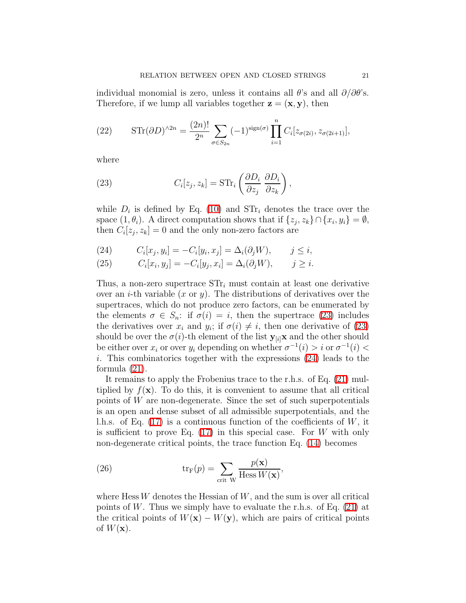individual monomial is zero, unless it contains all  $\theta$ 's and all  $\partial/\partial\theta$ 's. Therefore, if we lump all variables together  $z = (x, y)$ , then

(22) 
$$
\mathrm{STr}(\partial D)^{\wedge 2n} = \frac{(2n)!}{2^n} \sum_{\sigma \in S_{2n}} (-1)^{\mathrm{sign}(\sigma)} \prod_{i=1}^n C_i[z_{\sigma(2i)}, z_{\sigma(2i+1)}],
$$

<span id="page-20-0"></span>where

(23) 
$$
C_i[z_j, z_k] = \mathrm{STr}_i \left( \frac{\partial D_i}{\partial z_j} \frac{\partial D_i}{\partial z_k} \right),
$$

while  $D_i$  is defined by Eq. [\(10\)](#page-13-2) and  $STr_i$  denotes the trace over the space  $(1, \theta_i)$ . A direct computation shows that if  $\{z_j, z_k\} \cap \{x_i, y_i\} = \emptyset$ , then  $C_i[z_j, z_k] = 0$  and the only non-zero factors are

<span id="page-20-1"></span>(24) 
$$
C_i[x_j, y_i] = -C_i[y_i, x_j] = \Delta_i(\partial_j W), \quad j \leq i,
$$

(25) 
$$
C_i[x_i, y_j] = -C_i[y_j, x_i] = \Delta_i(\partial_j W), \quad j \geq i.
$$

Thus, a non-zero supertrace  $STr_i$  must contain at least one derivative over an *i*-th variable  $(x \text{ or } y)$ . The distributions of derivatives over the supertraces, which do not produce zero factors, can be enumerated by the elements  $\sigma \in S_n$ : if  $\sigma(i) = i$ , then the supertrace [\(23\)](#page-20-0) includes the derivatives over  $x_i$  and  $y_i$ ; if  $\sigma(i) \neq i$ , then one derivative of [\(23\)](#page-20-0) should be over the  $\sigma(i)$ -th element of the list  $\mathbf{y}_{[i]}$ x and the other should be either over  $x_i$  or over  $y_i$  depending on whether  $\sigma^{-1}(i) > i$  or  $\sigma^{-1}(i) <$ i. This combinatorics together with the expressions [\(24\)](#page-20-1) leads to the formula [\(21\)](#page-19-1).

It remains to apply the Frobenius trace to the r.h.s. of Eq. [\(21\)](#page-19-1) multiplied by  $f(\mathbf{x})$ . To do this, it is convenient to assume that all critical points of W are non-degenerate. Since the set of such superpotentials is an open and dense subset of all admissible superpotentials, and the l.h.s. of Eq.  $(17)$  is a continuous function of the coefficients of W, it is sufficient to prove Eq.  $(17)$  in this special case. For W with only non-degenerate critical points, the trace function Eq. [\(14\)](#page-18-1) becomes

<span id="page-20-2"></span>(26) 
$$
\operatorname{tr}_{\mathbf{F}}(p) = \sum_{\text{crit } \mathbf{W}} \frac{p(\mathbf{x})}{\operatorname{Hess} W(\mathbf{x})},
$$

where Hess  $W$  denotes the Hessian of  $W$ , and the sum is over all critical points of W. Thus we simply have to evaluate the r.h.s. of Eq.  $(21)$  at the critical points of  $W(x) - W(y)$ , which are pairs of critical points of  $W(\mathbf{x})$ .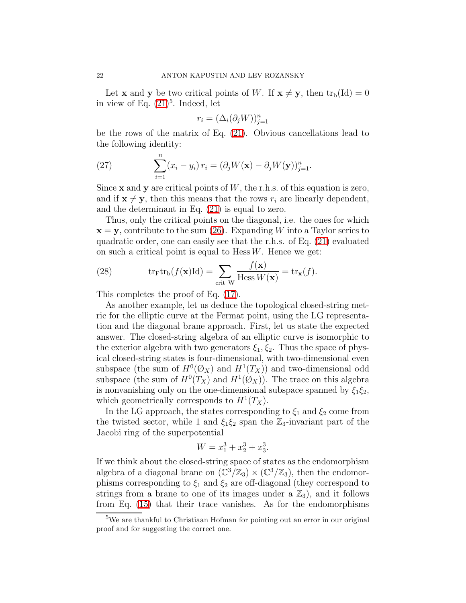Let **x** and **y** be two critical points of W. If  $\mathbf{x} \neq \mathbf{y}$ , then  $tr_{\mathbf{b}}(\text{Id}) = 0$ in view of Eq.  $(21)^5$  $(21)^5$ . Indeed, let

$$
r_i = (\Delta_i(\partial_j W))_{j=1}^n
$$

be the rows of the matrix of Eq. [\(21\)](#page-19-1). Obvious cancellations lead to the following identity:

(27) 
$$
\sum_{i=1}^{n} (x_i - y_i) r_i = (\partial_j W(\mathbf{x}) - \partial_j W(\mathbf{y}))_{j=1}^n.
$$

Since  $x$  and  $y$  are critical points of  $W$ , the r.h.s. of this equation is zero, and if  $\mathbf{x} \neq \mathbf{y}$ , then this means that the rows  $r_i$  are linearly dependent, and the determinant in Eq. [\(21\)](#page-19-1) is equal to zero.

Thus, only the critical points on the diagonal, i.e. the ones for which  ${\bf x}={\bf y}$ , contribute to the sum [\(26\)](#page-20-2). Expanding W into a Taylor series to quadratic order, one can easily see that the r.h.s. of Eq. [\(21\)](#page-19-1) evaluated on such a critical point is equal to  $Hess W$ . Hence we get:

(28) 
$$
\operatorname{tr}_{\mathbf{F}} \operatorname{tr}_{\mathbf{b}}(f(\mathbf{x}) \mathrm{Id}) = \sum_{\mathrm{crit} \ \mathbf{W}} \frac{f(\mathbf{x})}{\mathrm{Hess} \ W(\mathbf{x})} = \operatorname{tr}_{\mathbf{x}}(f).
$$

This completes the proof of Eq. [\(17\)](#page-19-0).

As another example, let us deduce the topological closed-string metric for the elliptic curve at the Fermat point, using the LG representation and the diagonal brane approach. First, let us state the expected answer. The closed-string algebra of an elliptic curve is isomorphic to the exterior algebra with two generators  $\xi_1, \xi_2$ . Thus the space of physical closed-string states is four-dimensional, with two-dimensional even subspace (the sum of  $H^0(\mathcal{O}_X)$  and  $H^1(T_X)$ ) and two-dimensional odd subspace (the sum of  $H^0(T_X)$  and  $H^1(\mathcal{O}_X)$ ). The trace on this algebra is nonvanishing only on the one-dimensional subspace spanned by  $\xi_1\xi_2$ , which geometrically corresponds to  $H^1(T_X)$ .

In the LG approach, the states corresponding to  $\xi_1$  and  $\xi_2$  come from the twisted sector, while 1 and  $\xi_1 \xi_2$  span the  $\mathbb{Z}_3$ -invariant part of the Jacobi ring of the superpotential

$$
W = x_1^3 + x_2^3 + x_3^3.
$$

If we think about the closed-string space of states as the endomorphism algebra of a diagonal brane on  $(\mathbb{C}^3/\mathbb{Z}_3) \times (\mathbb{C}^3/\mathbb{Z}_3)$ , then the endomorphisms corresponding to  $\xi_1$  and  $\xi_2$  are off-diagonal (they correspond to strings from a brane to one of its images under a  $\mathbb{Z}_3$ , and it follows from Eq. [\(15\)](#page-19-2) that their trace vanishes. As for the endomorphisms

<sup>&</sup>lt;sup>5</sup>We are thankful to Christiaan Hofman for pointing out an error in our original proof and for suggesting the correct one.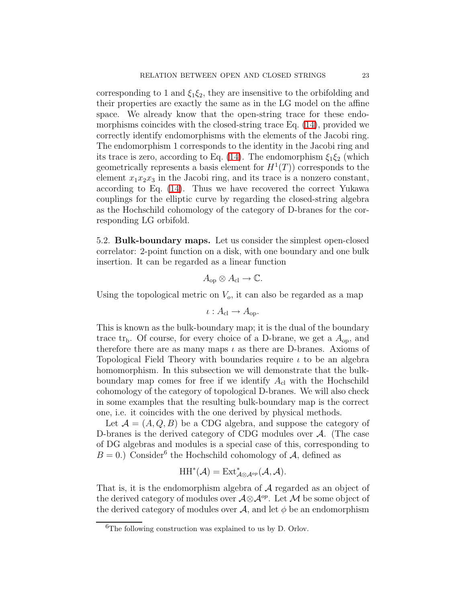corresponding to 1 and  $\xi_1 \xi_2$ , they are insensitive to the orbifolding and their properties are exactly the same as in the LG model on the affine space. We already know that the open-string trace for these endomorphisms coincides with the closed-string trace Eq. [\(14\)](#page-18-1), provided we correctly identify endomorphisms with the elements of the Jacobi ring. The endomorphism 1 corresponds to the identity in the Jacobi ring and its trace is zero, according to Eq. [\(14\)](#page-18-1). The endomorphism  $\xi_1 \xi_2$  (which geometrically represents a basis element for  $H^1(T)$  corresponds to the element  $x_1x_2x_3$  in the Jacobi ring, and its trace is a nonzero constant, according to Eq. [\(14\)](#page-18-1). Thus we have recovered the correct Yukawa couplings for the elliptic curve by regarding the closed-string algebra as the Hochschild cohomology of the category of D-branes for the corresponding LG orbifold.

5.2. Bulk-boundary maps. Let us consider the simplest open-closed correlator: 2-point function on a disk, with one boundary and one bulk insertion. It can be regarded as a linear function

$$
A_{\rm op} \otimes A_{\rm cl} \to \mathbb{C}.
$$

Using the topological metric on  $V_o$ , it can also be regarded as a map

$$
\iota: A_{\text{cl}} \to A_{\text{op}}.
$$

This is known as the bulk-boundary map; it is the dual of the boundary trace  $tr_{b}$ . Of course, for every choice of a D-brane, we get a  $A_{op}$ , and therefore there are as many maps  $\iota$  as there are D-branes. Axioms of Topological Field Theory with boundaries require  $\iota$  to be an algebra homomorphism. In this subsection we will demonstrate that the bulkboundary map comes for free if we identify  $A_{\rm cl}$  with the Hochschild cohomology of the category of topological D-branes. We will also check in some examples that the resulting bulk-boundary map is the correct one, i.e. it coincides with the one derived by physical methods.

Let  $\mathcal{A} = (A, Q, B)$  be a CDG algebra, and suppose the category of D-branes is the derived category of CDG modules over A. (The case of DG algebras and modules is a special case of this, corresponding to  $B = 0.$ ) Consider<sup>6</sup> the Hochschild cohomology of A, defined as

$$
\mathrm{HH}^*(\mathcal{A})=\mathrm{Ext}^*_{\mathcal{A}\otimes \mathcal{A}^{op}}(\mathcal{A},\mathcal{A}).
$$

That is, it is the endomorphism algebra of A regarded as an object of the derived category of modules over  $\mathcal{A} \otimes \mathcal{A}^{op}$ . Let M be some object of the derived category of modules over  $\mathcal{A}$ , and let  $\phi$  be an endomorphism

 ${}^{6}$ The following construction was explained to us by D. Orlov.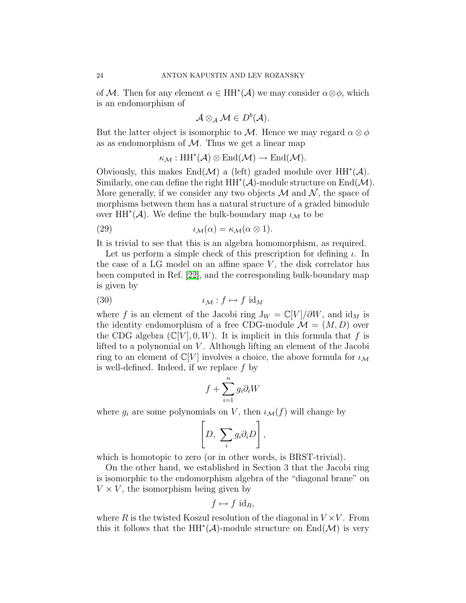of M. Then for any element  $\alpha \in HH^*(\mathcal{A})$  we may consider  $\alpha \otimes \phi$ , which is an endomorphism of

<span id="page-23-0"></span>
$$
{\mathcal{A}}\otimes_{\mathcal{A}} {\mathcal{M}}\in D^b({\mathcal{A}}).
$$

But the latter object is isomorphic to M. Hence we may regard  $\alpha \otimes \phi$ as as endomorphism of  $M$ . Thus we get a linear map

 $\kappa_{\mathcal{M}}:\mathrm{HH}^*(\mathcal{A})\otimes \mathrm{End}(\mathcal{M})\to \mathrm{End}(\mathcal{M}).$ 

Obviously, this makes End $(\mathcal{M})$  a (left) graded module over  $HH^*(\mathcal{A})$ . Similarly, one can define the right  $HH^*(\mathcal{A})$ -module structure on End $(\mathcal{M})$ . More generally, if we consider any two objects  $\mathcal M$  and  $\mathcal N$ , the space of morphisms between them has a natural structure of a graded bimodule over  $HH^*(A)$ . We define the bulk-boundary map  $\iota_{\mathcal{M}}$  to be

(29) 
$$
\iota_{\mathcal{M}}(\alpha) = \kappa_{\mathcal{M}}(\alpha \otimes 1).
$$

It is trivial to see that this is an algebra homomorphism, as required.

<span id="page-23-1"></span>Let us perform a simple check of this prescription for defining  $\iota$ . In the case of a LG model on an affine space  $V$ , the disk correlator has been computed in Ref. [\[22\]](#page-26-7), and the corresponding bulk-boundary map is given by

(30) ι<sup>M</sup> : f 7→ f id<sup>M</sup>

where f is an element of the Jacobi ring  $J_W = \mathbb{C}[V]/\partial W$ , and  $\mathrm{id}_M$  is the identity endomorphism of a free CDG-module  $\mathcal{M} = (M, D)$  over the CDG algebra  $(\mathbb{C}[V], 0, W)$ . It is implicit in this formula that f is lifted to a polynomial on  $V$ . Although lifting an element of the Jacobi ring to an element of  $\mathbb{C}[V]$  involves a choice, the above formula for  $\iota_{\mathcal{M}}$ is well-defined. Indeed, if we replace  $f$  by

$$
f+\sum_{i=1}^n g_i\partial_i W
$$

where  $g_i$  are some polynomials on V, then  $\iota_{\mathcal{M}}(f)$  will change by

$$
\left[D, \sum_i g_i \partial_i D\right],
$$

which is homotopic to zero (or in other words, is BRST-trivial).

On the other hand, we established in Section 3 that the Jacobi ring is isomorphic to the endomorphism algebra of the "diagonal brane" on  $V \times V$ , the isomorphism being given by

$$
f \mapsto f \, \mathrm{id}_R,
$$

where R is the twisted Koszul resolution of the diagonal in  $V \times V$ . From this it follows that the  $HH^*(A)$ -module structure on  $End(\mathcal{M})$  is very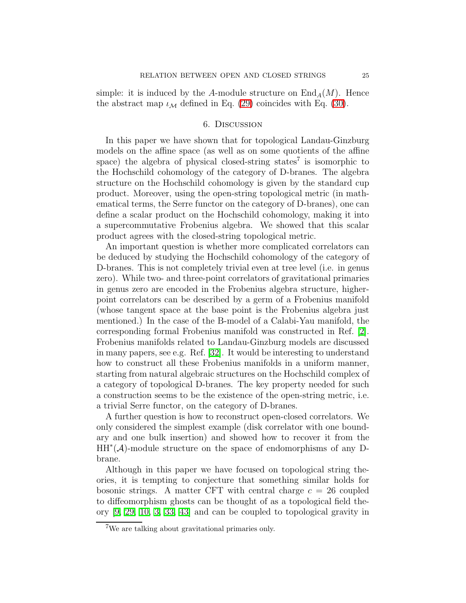simple: it is induced by the A-module structure on  $\text{End}_{A}(M)$ . Hence the abstract map  $\iota_{\mathcal{M}}$  defined in Eq. [\(29\)](#page-23-0) coincides with Eq. [\(30\)](#page-23-1).

### 6. Discussion

In this paper we have shown that for topological Landau-Ginzburg models on the affine space (as well as on some quotients of the affine space) the algebra of physical closed-string states<sup>7</sup> is isomorphic to the Hochschild cohomology of the category of D-branes. The algebra structure on the Hochschild cohomology is given by the standard cup product. Moreover, using the open-string topological metric (in mathematical terms, the Serre functor on the category of D-branes), one can define a scalar product on the Hochschild cohomology, making it into a supercommutative Frobenius algebra. We showed that this scalar product agrees with the closed-string topological metric.

An important question is whether more complicated correlators can be deduced by studying the Hochschild cohomology of the category of D-branes. This is not completely trivial even at tree level (i.e. in genus zero). While two- and three-point correlators of gravitational primaries in genus zero are encoded in the Frobenius algebra structure, higherpoint correlators can be described by a germ of a Frobenius manifold (whose tangent space at the base point is the Frobenius algebra just mentioned.) In the case of the B-model of a Calabi-Yau manifold, the corresponding formal Frobenius manifold was constructed in Ref. [\[2\]](#page-25-5). Frobenius manifolds related to Landau-Ginzburg models are discussed in many papers, see e.g. Ref. [\[32\]](#page-27-13). It would be interesting to understand how to construct all these Frobenius manifolds in a uniform manner, starting from natural algebraic structures on the Hochschild complex of a category of topological D-branes. The key property needed for such a construction seems to be the existence of the open-string metric, i.e. a trivial Serre functor, on the category of D-branes.

A further question is how to reconstruct open-closed correlators. We only considered the simplest example (disk correlator with one boundary and one bulk insertion) and showed how to recover it from the HH<sup>\*</sup>(A)-module structure on the space of endomorphisms of any Dbrane.

Although in this paper we have focused on topological string theories, it is tempting to conjecture that something similar holds for bosonic strings. A matter CFT with central charge  $c = 26$  coupled to diffeomorphism ghosts can be thought of as a topological field theory [\[9,](#page-26-19) [29,](#page-26-20) [10,](#page-26-21) [3,](#page-25-6) [33,](#page-27-14) [43\]](#page-27-15) and can be coupled to topological gravity in

<sup>7</sup>We are talking about gravitational primaries only.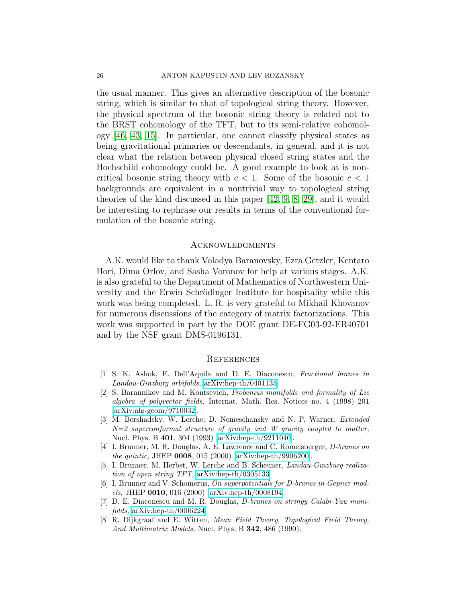the usual manner. This gives an alternative description of the bosonic string, which is similar to that of topological string theory. However, the physical spectrum of the bosonic string theory is related not to the BRST cohomology of the TFT, but to its semi-relative cohomology [\[46,](#page-27-3) [43,](#page-27-15) [15\]](#page-26-3). In particular, one cannot classify physical states as being gravitational primaries or descendants, in general, and it is not clear what the relation between physical closed string states and the Hochschild cohomology could be. A good example to look at is noncritical bosonic string theory with  $c < 1$ . Some of the bosonic  $c < 1$ backgrounds are equivalent in a nontrivial way to topological string theories of the kind discussed in this paper [\[42,](#page-27-2) [9,](#page-26-19) [8,](#page-25-7) [29\]](#page-26-20), and it would be interesting to rephrase our results in terms of the conventional formulation of the bosonic string.

#### Acknowledgments

A.K. would like to thank Volodya Baranovsky, Ezra Getzler, Kentaro Hori, Dima Orlov, and Sasha Voronov for help at various stages. A.K. is also grateful to the Department of Mathematics of Northwestern University and the Erwin Schrödinger Institute for hospitality while this work was being completed. L. R. is very grateful to Mikhail Khovanov for numerous discussions of the category of matrix factorizations. This work was supported in part by the DOE grant DE-FG03-92-ER40701 and by the NSF grant DMS-0196131.

#### **REFERENCES**

- <span id="page-25-5"></span><span id="page-25-4"></span>[1] S. K. Ashok, E. Dell'Aquila and D. E. Diaconescu, Fractional branes in Landau-Ginzburg orbifolds, [arXiv:hep-th/0401135.](http://arXiv.org/abs/hep-th/0401135)
- [2] S. Barannikov and M. Kontsevich, Frobenius manifolds and formality of Lie algebra of polyvector fields, Internat. Math. Res. Notices no. 4 (1998) 201 [\[arXiv:alg-geom/9710032\]](http://arXiv.org/abs/alg-geom/9710032).
- <span id="page-25-6"></span>[3] M. Bershadsky, W. Lerche, D. Nemeschansky and N. P. Warner, Extended  $N=2$  superconformal structure of gravity and W gravity coupled to matter, Nucl. Phys. B 401, 304 (1993) [\[arXiv:hep-th/9211040\]](http://arXiv.org/abs/hep-th/9211040).
- <span id="page-25-1"></span>[4] I. Brunner, M. R. Douglas, A. E. Lawrence and C. Romelsberger, D-branes on the quintic, JHEP 0008, 015 (2000) [\[arXiv:hep-th/9906200\]](http://arXiv.org/abs/hep-th/9906200).
- <span id="page-25-0"></span>[5] I. Brunner, M. Herbst, W. Lerche and B. Scheuner, Landau-Ginzburg realization of open string TFT, [arXiv:hep-th/0305133.](http://arXiv.org/abs/hep-th/0305133)
- <span id="page-25-3"></span>[6] I. Brunner and V. Schomerus, On superpotentials for D-branes in Gepner mod*els*, JHEP **0010**, 016 (2000)  $arXiv:hep-th/0008194$ .
- <span id="page-25-2"></span>[7] D. E. Diaconescu and M. R. Douglas, D-branes on stringy Calabi-Yau manifolds, [arXiv:hep-th/0006224.](http://arXiv.org/abs/hep-th/0006224)
- <span id="page-25-7"></span>[8] R. Dijkgraaf and E. Witten, Mean Field Theory, Topological Field Theory, And Multimatrix Models, Nucl. Phys. B 342, 486 (1990).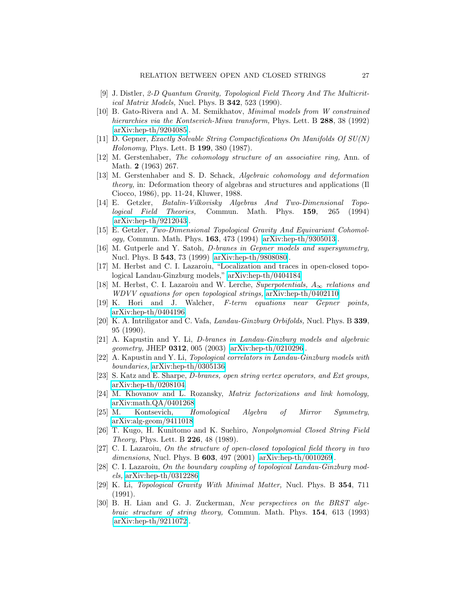- <span id="page-26-19"></span>[9] J. Distler, 2-D Quantum Gravity, Topological Field Theory And The Multicritical Matrix Models, Nucl. Phys. B 342, 523 (1990).
- <span id="page-26-21"></span>[10] B. Gato-Rivera and A. M. Semikhatov, Minimal models from W constrained hierarchies via the Kontsevich-Miwa transform, Phys. Lett. B 288, 38 (1992) [\[arXiv:hep-th/9204085\]](http://arXiv.org/abs/hep-th/9204085).
- <span id="page-26-9"></span>[11] D. Gepner, Exactly Solvable String Compactifications On Manifolds Of SU(N) Holonomy, Phys. Lett. B 199, 380 (1987).
- <span id="page-26-13"></span>[12] M. Gerstenhaber, The cohomology structure of an associative ring, Ann. of Math. 2 (1963) 267.
- <span id="page-26-14"></span>[13] M. Gerstenhaber and S. D. Schack, Algebraic cohomology and deformation theory, in: Deformation theory of algebras and structures and applications (Il Ciocco, 1986), pp. 11-24, Kluwer, 1988.
- <span id="page-26-5"></span>[14] E. Getzler, Batalin-Vilkovisky Algebras And Two-Dimensional Topological Field Theories, Commun. Math. Phys. 159, 265 (1994) [\[arXiv:hep-th/9212043\]](http://arXiv.org/abs/hep-th/9212043).
- <span id="page-26-3"></span>[15] E. Getzler, Two-Dimensional Topological Gravity And Equivariant Cohomology, Commun. Math. Phys. 163, 473 (1994) [\[arXiv:hep-th/9305013\]](http://arXiv.org/abs/hep-th/9305013).
- <span id="page-26-11"></span>[16] M. Gutperle and Y. Satoh, D-branes in Gepner models and supersymmetry, Nucl. Phys. B 543, 73 (1999) [\[arXiv:hep-th/9808080\]](http://arXiv.org/abs/hep-th/9808080).
- <span id="page-26-18"></span>[17] M. Herbst and C. I. Lazaroiu, "Localization and traces in open-closed topological Landau-Ginzburg models," [arXiv:hep-th/0404184.](http://arXiv.org/abs/hep-th/0404184)
- <span id="page-26-2"></span>[18] M. Herbst, C. I. Lazaroiu and W. Lerche, Superpotentials,  $A_{\infty}$  relations and WDVV equations for open topological strings, [arXiv:hep-th/0402110.](http://arXiv.org/abs/hep-th/0402110)
- <span id="page-26-12"></span>[19] K. Hori and J. Walcher, F-term equations near Gepner points, [arXiv:hep-th/0404196.](http://arXiv.org/abs/hep-th/0404196)
- <span id="page-26-10"></span>[20] K. A. Intriligator and C. Vafa, Landau-Ginzburg Orbifolds, Nucl. Phys. B 339, 95 (1990).
- <span id="page-26-6"></span>[21] A. Kapustin and Y. Li, D-branes in Landau-Ginzburg models and algebraic geometry, JHEP 0312, 005 (2003) [\[arXiv:hep-th/0210296\]](http://arXiv.org/abs/hep-th/0210296).
- <span id="page-26-7"></span>[22] A. Kapustin and Y. Li, Topological correlators in Landau-Ginzburg models with boundaries, [arXiv:hep-th/0305136.](http://arXiv.org/abs/hep-th/0305136)
- <span id="page-26-16"></span>[23] S. Katz and E. Sharpe, D-branes, open string vertex operators, and Ext groups, [arXiv:hep-th/0208104.](http://arXiv.org/abs/hep-th/0208104)
- <span id="page-26-17"></span>[24] M. Khovanov and L. Rozansky, Matrix factorizations and link homology, [arXiv:math.QA/0401268](http://arXiv.org/abs/math/0401268)
- <span id="page-26-15"></span>[25] M. Kontsevich, Homological Algebra of Mirror Symmetry, [arXiv:alg-geom/9411018.](http://arXiv.org/abs/alg-geom/9411018)
- <span id="page-26-0"></span>[26] T. Kugo, H. Kunitomo and K. Suehiro, Nonpolynomial Closed String Field *Theory*, Phys. Lett. B **226**, 48 (1989).
- <span id="page-26-1"></span>[27] C. I. Lazaroiu, On the structure of open-closed topological field theory in two dimensions, Nucl. Phys. B **603**, 497 (2001) [\[arXiv:hep-th/0010269\]](http://arXiv.org/abs/hep-th/0010269).
- <span id="page-26-8"></span>[28] C. I. Lazaroiu, On the boundary coupling of topological Landau-Ginzburg mod $els$ , [arXiv:hep-th/0312286.](http://arXiv.org/abs/hep-th/0312286)
- <span id="page-26-20"></span>[29] K. Li, Topological Gravity With Minimal Matter, Nucl. Phys. B 354, 711 (1991).
- <span id="page-26-4"></span>[30] B. H. Lian and G. J. Zuckerman, New perspectives on the BRST algebraic structure of string theory, Commun. Math. Phys. 154, 613 (1993) [\[arXiv:hep-th/9211072\]](http://arXiv.org/abs/hep-th/9211072).